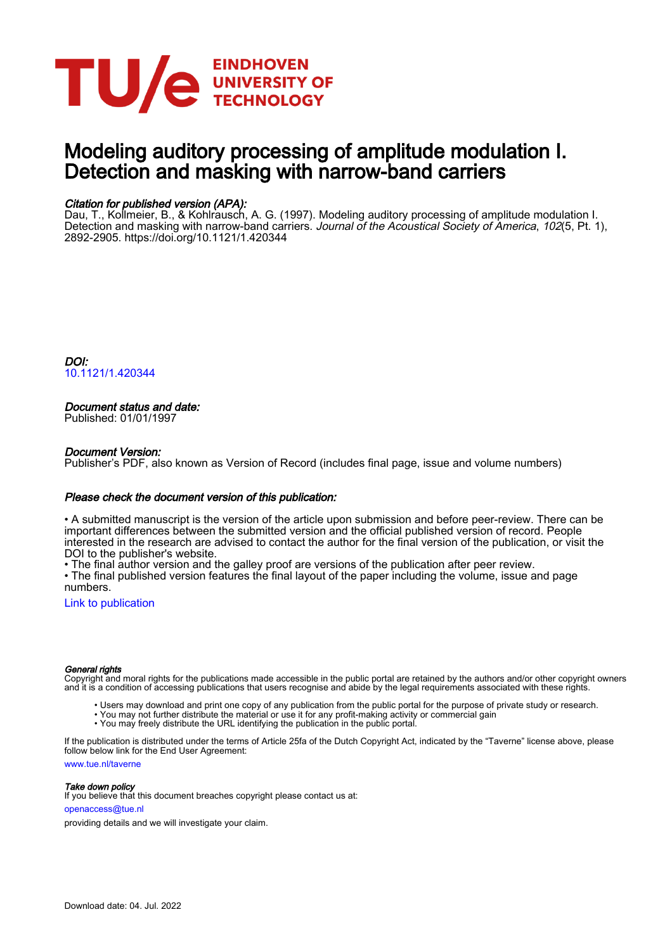

# Modeling auditory processing of amplitude modulation I. Detection and masking with narrow-band carriers

# Citation for published version (APA):

Dau, T., Kollmeier, B., & Kohlrausch, A. G. (1997). Modeling auditory processing of amplitude modulation I. Detection and masking with narrow-band carriers. Journal of the Acoustical Society of America, 102(5, Pt. 1), 2892-2905.<https://doi.org/10.1121/1.420344>

DOI: [10.1121/1.420344](https://doi.org/10.1121/1.420344)

# Document status and date:

Published: 01/01/1997

# Document Version:

Publisher's PDF, also known as Version of Record (includes final page, issue and volume numbers)

### Please check the document version of this publication:

• A submitted manuscript is the version of the article upon submission and before peer-review. There can be important differences between the submitted version and the official published version of record. People interested in the research are advised to contact the author for the final version of the publication, or visit the DOI to the publisher's website.

• The final author version and the galley proof are versions of the publication after peer review.

• The final published version features the final layout of the paper including the volume, issue and page numbers.

[Link to publication](https://research.tue.nl/en/publications/bf9e3e5e-efde-47c7-a3b7-311e989c694a)

#### General rights

Copyright and moral rights for the publications made accessible in the public portal are retained by the authors and/or other copyright owners and it is a condition of accessing publications that users recognise and abide by the legal requirements associated with these rights.

- Users may download and print one copy of any publication from the public portal for the purpose of private study or research.
- You may not further distribute the material or use it for any profit-making activity or commercial gain
- You may freely distribute the URL identifying the publication in the public portal.

If the publication is distributed under the terms of Article 25fa of the Dutch Copyright Act, indicated by the "Taverne" license above, please follow below link for the End User Agreement:

www.tue.nl/taverne

**Take down policy**<br>If you believe that this document breaches copyright please contact us at:

openaccess@tue.nl

providing details and we will investigate your claim.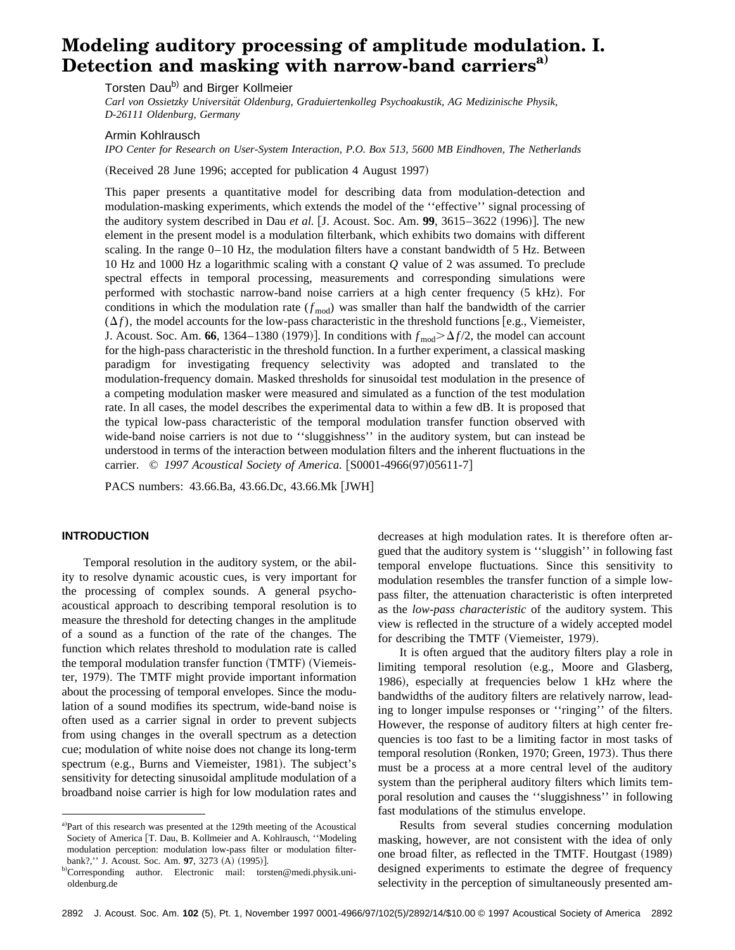# **Modeling auditory processing of amplitude modulation. I.** Detection and masking with narrow-band carriers<sup>a)</sup>

Torsten Dau<sup>b)</sup> and Birger Kollmeier

*Carl von Ossietzky Universita¨t Oldenburg, Graduiertenkolleg Psychoakustik, AG Medizinische Physik, D-26111 Oldenburg, Germany*

Armin Kohlrausch

*IPO Center for Research on User-System Interaction, P.O. Box 513, 5600 MB Eindhoven, The Netherlands*

(Received 28 June 1996; accepted for publication 4 August 1997)

This paper presents a quantitative model for describing data from modulation-detection and modulation-masking experiments, which extends the model of the ''effective'' signal processing of the auditory system described in Dau *et al.* [J. Acoust. Soc. Am.  $99$ ,  $3615-3622$  (1996)]. The new element in the present model is a modulation filterbank, which exhibits two domains with different scaling. In the range  $0-10$  Hz, the modulation filters have a constant bandwidth of 5 Hz. Between 10 Hz and 1000 Hz a logarithmic scaling with a constant *Q* value of 2 was assumed. To preclude spectral effects in temporal processing, measurements and corresponding simulations were performed with stochastic narrow-band noise carriers at a high center frequency  $(5 \text{ kHz})$ . For conditions in which the modulation rate  $(f_{\text{mod}})$  was smaller than half the bandwidth of the carrier  $(\Delta f)$ , the model accounts for the low-pass characteristic in the threshold functions [e.g., Viemeister, J. Acoust. Soc. Am. 66, 1364–1380 (1979)]. In conditions with  $f_{\text{mod}} > \Delta f/2$ , the model can account for the high-pass characteristic in the threshold function. In a further experiment, a classical masking paradigm for investigating frequency selectivity was adopted and translated to the modulation-frequency domain. Masked thresholds for sinusoidal test modulation in the presence of a competing modulation masker were measured and simulated as a function of the test modulation rate. In all cases, the model describes the experimental data to within a few dB. It is proposed that the typical low-pass characteristic of the temporal modulation transfer function observed with wide-band noise carriers is not due to ''sluggishness'' in the auditory system, but can instead be understood in terms of the interaction between modulation filters and the inherent fluctuations in the carrier. © 1997 Acoustical Society of America. [S0001-4966(97)05611-7]

PACS numbers: 43.66.Ba, 43.66.Dc, 43.66.Mk [JWH]

#### **INTRODUCTION**

Temporal resolution in the auditory system, or the ability to resolve dynamic acoustic cues, is very important for the processing of complex sounds. A general psychoacoustical approach to describing temporal resolution is to measure the threshold for detecting changes in the amplitude of a sound as a function of the rate of the changes. The function which relates threshold to modulation rate is called the temporal modulation transfer function (TMTF) (Viemeister, 1979). The TMTF might provide important information about the processing of temporal envelopes. Since the modulation of a sound modifies its spectrum, wide-band noise is often used as a carrier signal in order to prevent subjects from using changes in the overall spectrum as a detection cue; modulation of white noise does not change its long-term spectrum (e.g., Burns and Viemeister, 1981). The subject's sensitivity for detecting sinusoidal amplitude modulation of a broadband noise carrier is high for low modulation rates and

a)Part of this research was presented at the 129th meeting of the Acoustical Society of America [T. Dau, B. Kollmeier and A. Kohlrausch, "Modeling modulation perception: modulation low-pass filter or modulation filterbank?," J. Acoust. Soc. Am. 97, 3273 (A) (1995)].

decreases at high modulation rates. It is therefore often argued that the auditory system is ''sluggish'' in following fast temporal envelope fluctuations. Since this sensitivity to modulation resembles the transfer function of a simple lowpass filter, the attenuation characteristic is often interpreted as the *low-pass characteristic* of the auditory system. This view is reflected in the structure of a widely accepted model for describing the TMTF (Viemeister, 1979).

It is often argued that the auditory filters play a role in limiting temporal resolution (e.g., Moore and Glasberg, 1986), especially at frequencies below 1 kHz where the bandwidths of the auditory filters are relatively narrow, leading to longer impulse responses or ''ringing'' of the filters. However, the response of auditory filters at high center frequencies is too fast to be a limiting factor in most tasks of temporal resolution (Ronken, 1970; Green, 1973). Thus there must be a process at a more central level of the auditory system than the peripheral auditory filters which limits temporal resolution and causes the ''sluggishness'' in following fast modulations of the stimulus envelope.

Results from several studies concerning modulation masking, however, are not consistent with the idea of only one broad filter, as reflected in the TMTF. Houtgast (1989) designed experiments to estimate the degree of frequency selectivity in the perception of simultaneously presented am-

b)Corresponding author. Electronic mail: torsten@medi.physik.unioldenburg.de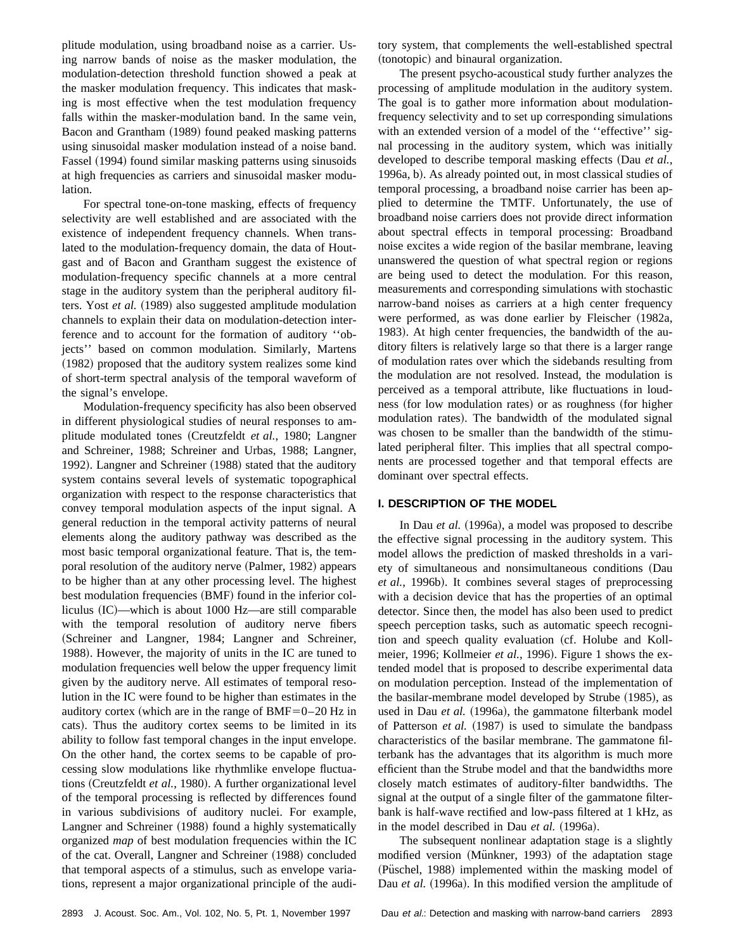plitude modulation, using broadband noise as a carrier. Using narrow bands of noise as the masker modulation, the modulation-detection threshold function showed a peak at the masker modulation frequency. This indicates that masking is most effective when the test modulation frequency falls within the masker-modulation band. In the same vein, Bacon and Grantham (1989) found peaked masking patterns using sinusoidal masker modulation instead of a noise band. Fassel (1994) found similar masking patterns using sinusoids at high frequencies as carriers and sinusoidal masker modulation.

For spectral tone-on-tone masking, effects of frequency selectivity are well established and are associated with the existence of independent frequency channels. When translated to the modulation-frequency domain, the data of Houtgast and of Bacon and Grantham suggest the existence of modulation-frequency specific channels at a more central stage in the auditory system than the peripheral auditory filters. Yost *et al.* (1989) also suggested amplitude modulation channels to explain their data on modulation-detection interference and to account for the formation of auditory ''objects'' based on common modulation. Similarly, Martens  $(1982)$  proposed that the auditory system realizes some kind of short-term spectral analysis of the temporal waveform of the signal's envelope.

Modulation-frequency specificity has also been observed in different physiological studies of neural responses to amplitude modulated tones (Creutzfeldt *et al.*, 1980; Langner and Schreiner, 1988; Schreiner and Urbas, 1988; Langner, 1992). Langner and Schreiner (1988) stated that the auditory system contains several levels of systematic topographical organization with respect to the response characteristics that convey temporal modulation aspects of the input signal. A general reduction in the temporal activity patterns of neural elements along the auditory pathway was described as the most basic temporal organizational feature. That is, the temporal resolution of the auditory nerve (Palmer, 1982) appears to be higher than at any other processing level. The highest best modulation frequencies (BMF) found in the inferior colliculus  $(IC)$ —which is about 1000 Hz—are still comparable with the temporal resolution of auditory nerve fibers (Schreiner and Langner, 1984; Langner and Schreiner, 1988). However, the majority of units in the IC are tuned to modulation frequencies well below the upper frequency limit given by the auditory nerve. All estimates of temporal resolution in the IC were found to be higher than estimates in the auditory cortex (which are in the range of  $BMF=0-20$  Hz in cats). Thus the auditory cortex seems to be limited in its ability to follow fast temporal changes in the input envelope. On the other hand, the cortex seems to be capable of processing slow modulations like rhythmlike envelope fluctuations (Creutzfeldt et al., 1980). A further organizational level of the temporal processing is reflected by differences found in various subdivisions of auditory nuclei. For example, Langner and Schreiner (1988) found a highly systematically organized *map* of best modulation frequencies within the IC of the cat. Overall, Langner and Schreiner (1988) concluded that temporal aspects of a stimulus, such as envelope variations, represent a major organizational principle of the auditory system, that complements the well-established spectral (tonotopic) and binaural organization.

The present psycho-acoustical study further analyzes the processing of amplitude modulation in the auditory system. The goal is to gather more information about modulationfrequency selectivity and to set up corresponding simulations with an extended version of a model of the ''effective'' signal processing in the auditory system, which was initially developed to describe temporal masking effects (Dau *et al.*, 1996a, b). As already pointed out, in most classical studies of temporal processing, a broadband noise carrier has been applied to determine the TMTF. Unfortunately, the use of broadband noise carriers does not provide direct information about spectral effects in temporal processing: Broadband noise excites a wide region of the basilar membrane, leaving unanswered the question of what spectral region or regions are being used to detect the modulation. For this reason, measurements and corresponding simulations with stochastic narrow-band noises as carriers at a high center frequency were performed, as was done earlier by Fleischer  $(1982a,$ 1983). At high center frequencies, the bandwidth of the auditory filters is relatively large so that there is a larger range of modulation rates over which the sidebands resulting from the modulation are not resolved. Instead, the modulation is perceived as a temporal attribute, like fluctuations in loudness (for low modulation rates) or as roughness (for higher modulation rates). The bandwidth of the modulated signal was chosen to be smaller than the bandwidth of the stimulated peripheral filter. This implies that all spectral components are processed together and that temporal effects are dominant over spectral effects.

# **I. DESCRIPTION OF THE MODEL**

In Dau *et al.* (1996a), a model was proposed to describe the effective signal processing in the auditory system. This model allows the prediction of masked thresholds in a variety of simultaneous and nonsimultaneous conditions (Dau *et al.*, 1996b). It combines several stages of preprocessing with a decision device that has the properties of an optimal detector. Since then, the model has also been used to predict speech perception tasks, such as automatic speech recognition and speech quality evaluation (cf. Holube and Kollmeier, 1996; Kollmeier *et al.*, 1996). Figure 1 shows the extended model that is proposed to describe experimental data on modulation perception. Instead of the implementation of the basilar-membrane model developed by Strube (1985), as used in Dau *et al.* (1996a), the gammatone filterbank model of Patterson *et al.* (1987) is used to simulate the bandpass characteristics of the basilar membrane. The gammatone filterbank has the advantages that its algorithm is much more efficient than the Strube model and that the bandwidths more closely match estimates of auditory-filter bandwidths. The signal at the output of a single filter of the gammatone filterbank is half-wave rectified and low-pass filtered at 1 kHz, as in the model described in Dau et al. (1996a).

The subsequent nonlinear adaptation stage is a slightly modified version (Münkner, 1993) of the adaptation stage (Püschel, 1988) implemented within the masking model of Dau et al. (1996a). In this modified version the amplitude of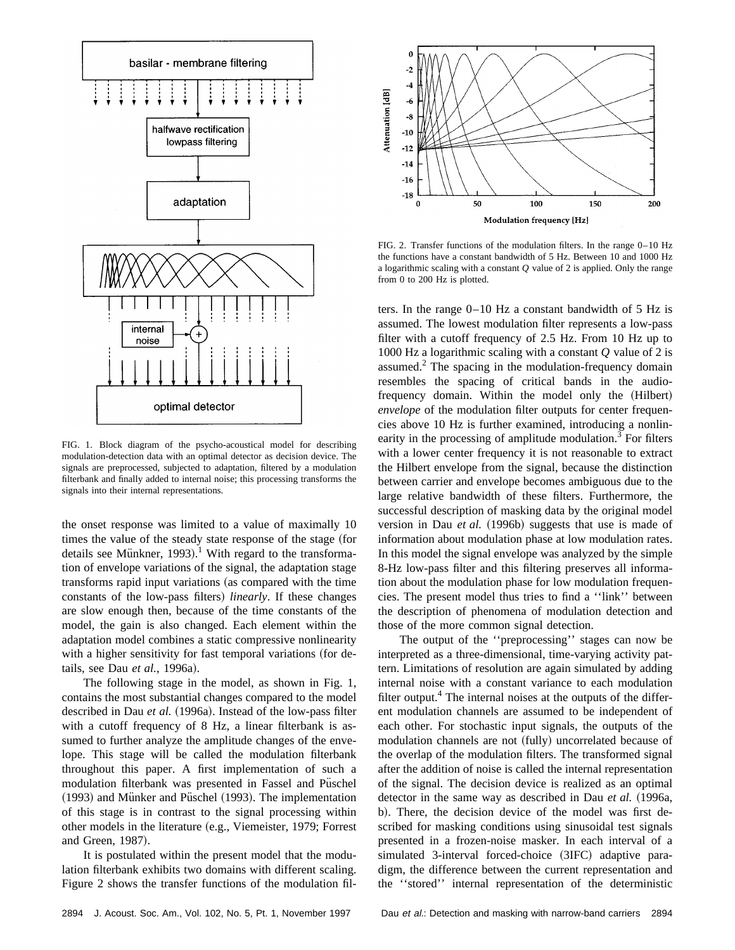

FIG. 1. Block diagram of the psycho-acoustical model for describing modulation-detection data with an optimal detector as decision device. The signals are preprocessed, subjected to adaptation, filtered by a modulation filterbank and finally added to internal noise; this processing transforms the signals into their internal representations.

the onset response was limited to a value of maximally 10 times the value of the steady state response of the stage (for details see Münkner, 1993).<sup>1</sup> With regard to the transformation of envelope variations of the signal, the adaptation stage transforms rapid input variations (as compared with the time constants of the low-pass filters) *linearly*. If these changes are slow enough then, because of the time constants of the model, the gain is also changed. Each element within the adaptation model combines a static compressive nonlinearity with a higher sensitivity for fast temporal variations (for details, see Dau et al., 1996a).

The following stage in the model, as shown in Fig. 1, contains the most substantial changes compared to the model described in Dau et al. (1996a). Instead of the low-pass filter with a cutoff frequency of 8 Hz, a linear filterbank is assumed to further analyze the amplitude changes of the envelope. This stage will be called the modulation filterbank throughout this paper. A first implementation of such a modulation filterbank was presented in Fassel and Püschel  $(1993)$  and Münker and Püschel  $(1993)$ . The implementation of this stage is in contrast to the signal processing within other models in the literature (e.g., Viemeister, 1979; Forrest and Green, 1987).

It is postulated within the present model that the modulation filterbank exhibits two domains with different scaling. Figure 2 shows the transfer functions of the modulation fil-



FIG. 2. Transfer functions of the modulation filters. In the range 0–10 Hz the functions have a constant bandwidth of 5 Hz. Between 10 and 1000 Hz a logarithmic scaling with a constant *Q* value of 2 is applied. Only the range from 0 to 200 Hz is plotted.

ters. In the range  $0-10$  Hz a constant bandwidth of 5 Hz is assumed. The lowest modulation filter represents a low-pass filter with a cutoff frequency of 2.5 Hz. From 10 Hz up to 1000 Hz a logarithmic scaling with a constant *Q* value of 2 is assumed. $^{2}$  The spacing in the modulation-frequency domain resembles the spacing of critical bands in the audiofrequency domain. Within the model only the (Hilbert) *envelope* of the modulation filter outputs for center frequencies above 10 Hz is further examined, introducing a nonlinearity in the processing of amplitude modulation.<sup>3</sup> For filters with a lower center frequency it is not reasonable to extract the Hilbert envelope from the signal, because the distinction between carrier and envelope becomes ambiguous due to the large relative bandwidth of these filters. Furthermore, the successful description of masking data by the original model version in Dau *et al.* (1996b) suggests that use is made of information about modulation phase at low modulation rates. In this model the signal envelope was analyzed by the simple 8-Hz low-pass filter and this filtering preserves all information about the modulation phase for low modulation frequencies. The present model thus tries to find a ''link'' between the description of phenomena of modulation detection and those of the more common signal detection.

The output of the ''preprocessing'' stages can now be interpreted as a three-dimensional, time-varying activity pattern. Limitations of resolution are again simulated by adding internal noise with a constant variance to each modulation filter output. $4$  The internal noises at the outputs of the different modulation channels are assumed to be independent of each other. For stochastic input signals, the outputs of the modulation channels are not (fully) uncorrelated because of the overlap of the modulation filters. The transformed signal after the addition of noise is called the internal representation of the signal. The decision device is realized as an optimal detector in the same way as described in Dau *et al.* (1996a, b). There, the decision device of the model was first described for masking conditions using sinusoidal test signals presented in a frozen-noise masker. In each interval of a simulated 3-interval forced-choice (3IFC) adaptive paradigm, the difference between the current representation and the ''stored'' internal representation of the deterministic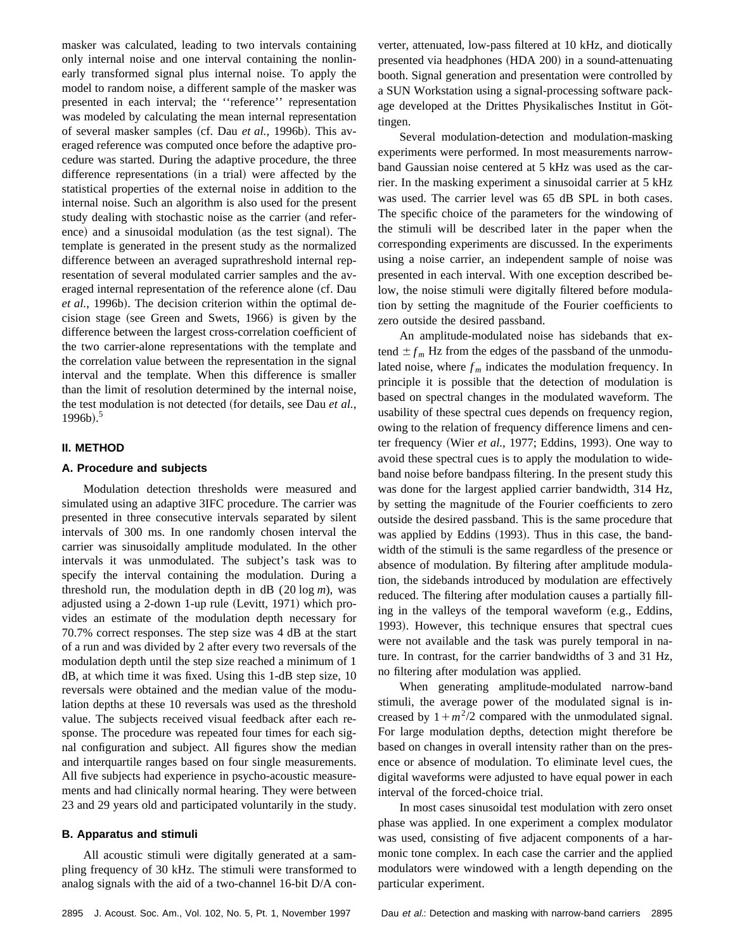masker was calculated, leading to two intervals containing only internal noise and one interval containing the nonlinearly transformed signal plus internal noise. To apply the model to random noise, a different sample of the masker was presented in each interval; the ''reference'' representation was modeled by calculating the mean internal representation of several masker samples (cf. Dau *et al.*, 1996b). This averaged reference was computed once before the adaptive procedure was started. During the adaptive procedure, the three difference representations (in a trial) were affected by the statistical properties of the external noise in addition to the internal noise. Such an algorithm is also used for the present study dealing with stochastic noise as the carrier (and reference) and a sinusoidal modulation (as the test signal). The template is generated in the present study as the normalized difference between an averaged suprathreshold internal representation of several modulated carrier samples and the averaged internal representation of the reference alone (cf. Dau *et al.*, 1996b). The decision criterion within the optimal decision stage (see Green and Swets,  $1966$ ) is given by the difference between the largest cross-correlation coefficient of the two carrier-alone representations with the template and the correlation value between the representation in the signal interval and the template. When this difference is smaller than the limit of resolution determined by the internal noise, the test modulation is not detected (for details, see Dau *et al.*, 1996b).<sup>5</sup>

#### **II. METHOD**

#### **A. Procedure and subjects**

Modulation detection thresholds were measured and simulated using an adaptive 3IFC procedure. The carrier was presented in three consecutive intervals separated by silent intervals of 300 ms. In one randomly chosen interval the carrier was sinusoidally amplitude modulated. In the other intervals it was unmodulated. The subject's task was to specify the interval containing the modulation. During a threshold run, the modulation depth in dB (20 log *m*), was adjusted using a 2-down 1-up rule (Levitt,  $1971$ ) which provides an estimate of the modulation depth necessary for 70.7% correct responses. The step size was 4 dB at the start of a run and was divided by 2 after every two reversals of the modulation depth until the step size reached a minimum of 1 dB, at which time it was fixed. Using this 1-dB step size, 10 reversals were obtained and the median value of the modulation depths at these 10 reversals was used as the threshold value. The subjects received visual feedback after each response. The procedure was repeated four times for each signal configuration and subject. All figures show the median and interquartile ranges based on four single measurements. All five subjects had experience in psycho-acoustic measurements and had clinically normal hearing. They were between 23 and 29 years old and participated voluntarily in the study.

#### **B. Apparatus and stimuli**

All acoustic stimuli were digitally generated at a sampling frequency of 30 kHz. The stimuli were transformed to analog signals with the aid of a two-channel 16-bit D/A con-

Several modulation-detection and modulation-masking experiments were performed. In most measurements narrowband Gaussian noise centered at 5 kHz was used as the carrier. In the masking experiment a sinusoidal carrier at 5 kHz was used. The carrier level was 65 dB SPL in both cases. The specific choice of the parameters for the windowing of the stimuli will be described later in the paper when the corresponding experiments are discussed. In the experiments using a noise carrier, an independent sample of noise was presented in each interval. With one exception described below, the noise stimuli were digitally filtered before modulation by setting the magnitude of the Fourier coefficients to zero outside the desired passband.

An amplitude-modulated noise has sidebands that extend  $\pm f_m$  Hz from the edges of the passband of the unmodulated noise, where  $f_m$  indicates the modulation frequency. In principle it is possible that the detection of modulation is based on spectral changes in the modulated waveform. The usability of these spectral cues depends on frequency region, owing to the relation of frequency difference limens and center frequency (Wier *et al.*, 1977; Eddins, 1993). One way to avoid these spectral cues is to apply the modulation to wideband noise before bandpass filtering. In the present study this was done for the largest applied carrier bandwidth, 314 Hz, by setting the magnitude of the Fourier coefficients to zero outside the desired passband. This is the same procedure that was applied by Eddins (1993). Thus in this case, the bandwidth of the stimuli is the same regardless of the presence or absence of modulation. By filtering after amplitude modulation, the sidebands introduced by modulation are effectively reduced. The filtering after modulation causes a partially filling in the valleys of the temporal waveform (e.g., Eddins, 1993). However, this technique ensures that spectral cues were not available and the task was purely temporal in nature. In contrast, for the carrier bandwidths of 3 and 31 Hz, no filtering after modulation was applied.

When generating amplitude-modulated narrow-band stimuli, the average power of the modulated signal is increased by  $1 + m^2/2$  compared with the unmodulated signal. For large modulation depths, detection might therefore be based on changes in overall intensity rather than on the presence or absence of modulation. To eliminate level cues, the digital waveforms were adjusted to have equal power in each interval of the forced-choice trial.

In most cases sinusoidal test modulation with zero onset phase was applied. In one experiment a complex modulator was used, consisting of five adjacent components of a harmonic tone complex. In each case the carrier and the applied modulators were windowed with a length depending on the particular experiment.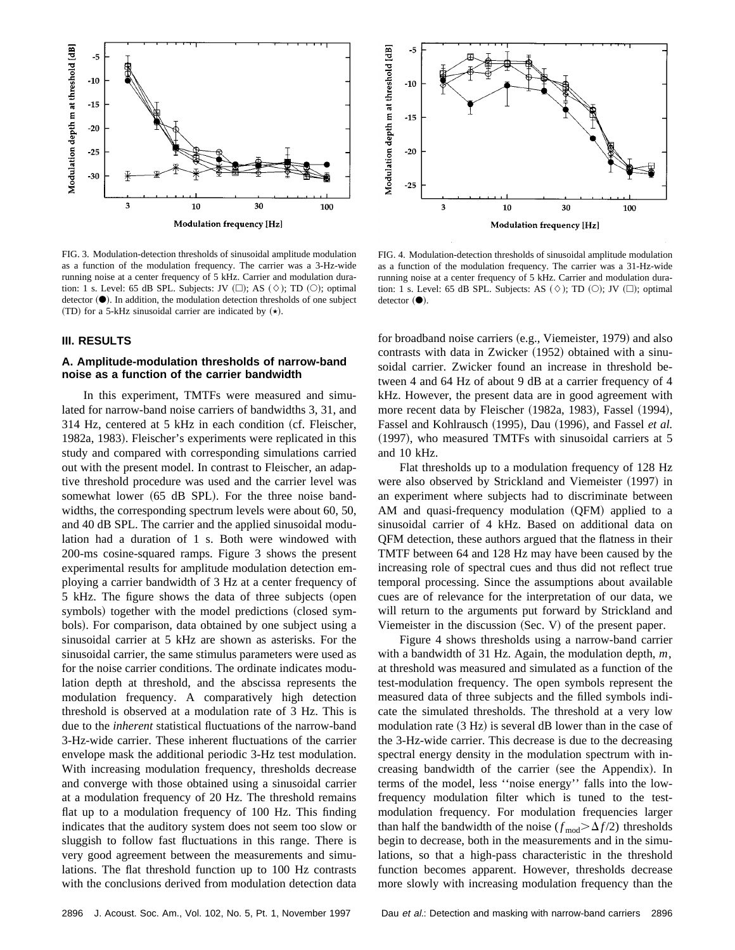

FIG. 3. Modulation-detection thresholds of sinusoidal amplitude modulation as a function of the modulation frequency. The carrier was a 3-Hz-wide running noise at a center frequency of 5 kHz. Carrier and modulation duration: 1 s. Level: 65 dB SPL. Subjects: JV  $(\square)$ ; AS  $(\Diamond)$ ; TD  $(\bigcirc)$ ; optimal  $\det$   $\left( \bullet \right)$ . In addition, the modulation detection thresholds of one subject (TD) for a 5-kHz sinusoidal carrier are indicated by  $(\star)$ .

#### **III. RESULTS**

# **A. Amplitude-modulation thresholds of narrow-band noise as a function of the carrier bandwidth**

In this experiment, TMTFs were measured and simulated for narrow-band noise carriers of bandwidths 3, 31, and  $314$  Hz, centered at 5 kHz in each condition (cf. Fleischer, 1982a, 1983). Fleischer's experiments were replicated in this study and compared with corresponding simulations carried out with the present model. In contrast to Fleischer, an adaptive threshold procedure was used and the carrier level was somewhat lower (65 dB SPL). For the three noise bandwidths, the corresponding spectrum levels were about 60, 50, and 40 dB SPL. The carrier and the applied sinusoidal modulation had a duration of 1 s. Both were windowed with 200-ms cosine-squared ramps. Figure 3 shows the present experimental results for amplitude modulation detection employing a carrier bandwidth of 3 Hz at a center frequency of 5 kHz. The figure shows the data of three subjects (open symbols) together with the model predictions (closed symbols). For comparison, data obtained by one subject using a sinusoidal carrier at 5 kHz are shown as asterisks. For the sinusoidal carrier, the same stimulus parameters were used as for the noise carrier conditions. The ordinate indicates modulation depth at threshold, and the abscissa represents the modulation frequency. A comparatively high detection threshold is observed at a modulation rate of 3 Hz. This is due to the *inherent* statistical fluctuations of the narrow-band 3-Hz-wide carrier. These inherent fluctuations of the carrier envelope mask the additional periodic 3-Hz test modulation. With increasing modulation frequency, thresholds decrease and converge with those obtained using a sinusoidal carrier at a modulation frequency of 20 Hz. The threshold remains flat up to a modulation frequency of 100 Hz. This finding indicates that the auditory system does not seem too slow or sluggish to follow fast fluctuations in this range. There is very good agreement between the measurements and simulations. The flat threshold function up to 100 Hz contrasts with the conclusions derived from modulation detection data



FIG. 4. Modulation-detection thresholds of sinusoidal amplitude modulation as a function of the modulation frequency. The carrier was a 31-Hz-wide running noise at a center frequency of 5 kHz. Carrier and modulation duration: 1 s. Level: 65 dB SPL. Subjects: AS  $(\Diamond)$ ; TD  $(\bigcirc)$ ; JV  $(\Box)$ ; optimal  $\text{detector }(\bullet)$ .

for broadband noise carriers (e.g., Viemeister, 1979) and also contrasts with data in Zwicker  $(1952)$  obtained with a sinusoidal carrier. Zwicker found an increase in threshold between 4 and 64 Hz of about 9 dB at a carrier frequency of 4 kHz. However, the present data are in good agreement with more recent data by Fleischer (1982a, 1983), Fassel (1994), Fassel and Kohlrausch (1995), Dau (1996), and Fassel *et al.*  $(1997)$ , who measured TMTFs with sinusoidal carriers at 5 and 10 kHz.

Flat thresholds up to a modulation frequency of 128 Hz were also observed by Strickland and Viemeister (1997) in an experiment where subjects had to discriminate between AM and quasi-frequency modulation  $(QFM)$  applied to a sinusoidal carrier of 4 kHz. Based on additional data on QFM detection, these authors argued that the flatness in their TMTF between 64 and 128 Hz may have been caused by the increasing role of spectral cues and thus did not reflect true temporal processing. Since the assumptions about available cues are of relevance for the interpretation of our data, we will return to the arguments put forward by Strickland and Viemeister in the discussion  $(Sec. V)$  of the present paper.

Figure 4 shows thresholds using a narrow-band carrier with a bandwidth of 31 Hz. Again, the modulation depth, *m*, at threshold was measured and simulated as a function of the test-modulation frequency. The open symbols represent the measured data of three subjects and the filled symbols indicate the simulated thresholds. The threshold at a very low modulation rate  $(3 Hz)$  is several dB lower than in the case of the 3-Hz-wide carrier. This decrease is due to the decreasing spectral energy density in the modulation spectrum with increasing bandwidth of the carrier (see the Appendix). In terms of the model, less ''noise energy'' falls into the lowfrequency modulation filter which is tuned to the testmodulation frequency. For modulation frequencies larger than half the bandwidth of the noise  $(f_{mod} > \Delta f / 2)$  thresholds begin to decrease, both in the measurements and in the simulations, so that a high-pass characteristic in the threshold function becomes apparent. However, thresholds decrease more slowly with increasing modulation frequency than the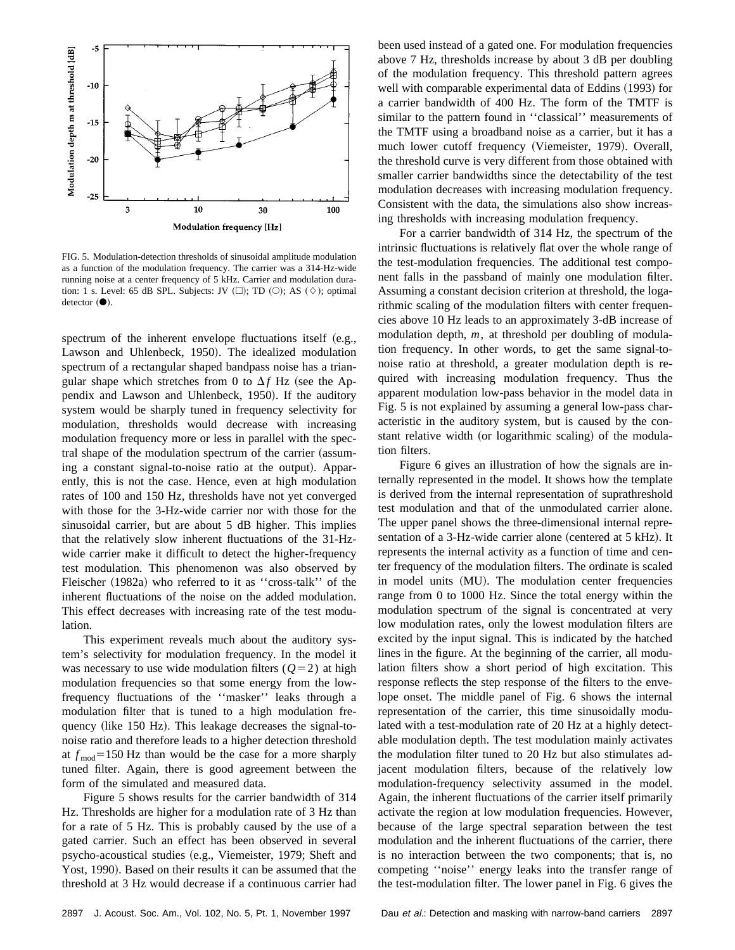

FIG. 5. Modulation-detection thresholds of sinusoidal amplitude modulation as a function of the modulation frequency. The carrier was a 314-Hz-wide running noise at a center frequency of 5 kHz. Carrier and modulation duration: 1 s. Level: 65 dB SPL. Subjects: JV  $(\square)$ ; TD  $(\bigcirc)$ ; AS  $(\Diamond)$ ; optimal detector  $(•)$ .

spectrum of the inherent envelope fluctuations itself  $(e.g.,)$ Lawson and Uhlenbeck, 1950). The idealized modulation spectrum of a rectangular shaped bandpass noise has a triangular shape which stretches from 0 to  $\Delta f$  Hz (see the Appendix and Lawson and Uhlenbeck, 1950). If the auditory system would be sharply tuned in frequency selectivity for modulation, thresholds would decrease with increasing modulation frequency more or less in parallel with the spectral shape of the modulation spectrum of the carrier (assuming a constant signal-to-noise ratio at the output). Apparently, this is not the case. Hence, even at high modulation rates of 100 and 150 Hz, thresholds have not yet converged with those for the 3-Hz-wide carrier nor with those for the sinusoidal carrier, but are about 5 dB higher. This implies that the relatively slow inherent fluctuations of the 31-Hzwide carrier make it difficult to detect the higher-frequency test modulation. This phenomenon was also observed by Fleischer  $(1982a)$  who referred to it as "cross-talk" of the inherent fluctuations of the noise on the added modulation. This effect decreases with increasing rate of the test modulation.

This experiment reveals much about the auditory system's selectivity for modulation frequency. In the model it was necessary to use wide modulation filters  $(Q=2)$  at high modulation frequencies so that some energy from the lowfrequency fluctuations of the ''masker'' leaks through a modulation filter that is tuned to a high modulation frequency (like 150 Hz). This leakage decreases the signal-tonoise ratio and therefore leads to a higher detection threshold at  $f_{\text{mod}}$ =150 Hz than would be the case for a more sharply tuned filter. Again, there is good agreement between the form of the simulated and measured data.

Figure 5 shows results for the carrier bandwidth of 314 Hz. Thresholds are higher for a modulation rate of 3 Hz than for a rate of 5 Hz. This is probably caused by the use of a gated carrier. Such an effect has been observed in several psycho-acoustical studies (e.g., Viemeister, 1979; Sheft and Yost, 1990). Based on their results it can be assumed that the threshold at 3 Hz would decrease if a continuous carrier had been used instead of a gated one. For modulation frequencies above 7 Hz, thresholds increase by about 3 dB per doubling of the modulation frequency. This threshold pattern agrees well with comparable experimental data of Eddins (1993) for a carrier bandwidth of 400 Hz. The form of the TMTF is similar to the pattern found in ''classical'' measurements of the TMTF using a broadband noise as a carrier, but it has a much lower cutoff frequency (Viemeister, 1979). Overall, the threshold curve is very different from those obtained with smaller carrier bandwidths since the detectability of the test modulation decreases with increasing modulation frequency. Consistent with the data, the simulations also show increasing thresholds with increasing modulation frequency.

For a carrier bandwidth of 314 Hz, the spectrum of the intrinsic fluctuations is relatively flat over the whole range of the test-modulation frequencies. The additional test component falls in the passband of mainly one modulation filter. Assuming a constant decision criterion at threshold, the logarithmic scaling of the modulation filters with center frequencies above 10 Hz leads to an approximately 3-dB increase of modulation depth, *m*, at threshold per doubling of modulation frequency. In other words, to get the same signal-tonoise ratio at threshold, a greater modulation depth is required with increasing modulation frequency. Thus the apparent modulation low-pass behavior in the model data in Fig. 5 is not explained by assuming a general low-pass characteristic in the auditory system, but is caused by the constant relative width (or logarithmic scaling) of the modulation filters.

Figure 6 gives an illustration of how the signals are internally represented in the model. It shows how the template is derived from the internal representation of suprathreshold test modulation and that of the unmodulated carrier alone. The upper panel shows the three-dimensional internal representation of a 3-Hz-wide carrier alone (centered at 5 kHz). It represents the internal activity as a function of time and center frequency of the modulation filters. The ordinate is scaled in model units (MU). The modulation center frequencies range from 0 to 1000 Hz. Since the total energy within the modulation spectrum of the signal is concentrated at very low modulation rates, only the lowest modulation filters are excited by the input signal. This is indicated by the hatched lines in the figure. At the beginning of the carrier, all modulation filters show a short period of high excitation. This response reflects the step response of the filters to the envelope onset. The middle panel of Fig. 6 shows the internal representation of the carrier, this time sinusoidally modulated with a test-modulation rate of 20 Hz at a highly detectable modulation depth. The test modulation mainly activates the modulation filter tuned to 20 Hz but also stimulates adjacent modulation filters, because of the relatively low modulation-frequency selectivity assumed in the model. Again, the inherent fluctuations of the carrier itself primarily activate the region at low modulation frequencies. However, because of the large spectral separation between the test modulation and the inherent fluctuations of the carrier, there is no interaction between the two components; that is, no competing ''noise'' energy leaks into the transfer range of the test-modulation filter. The lower panel in Fig. 6 gives the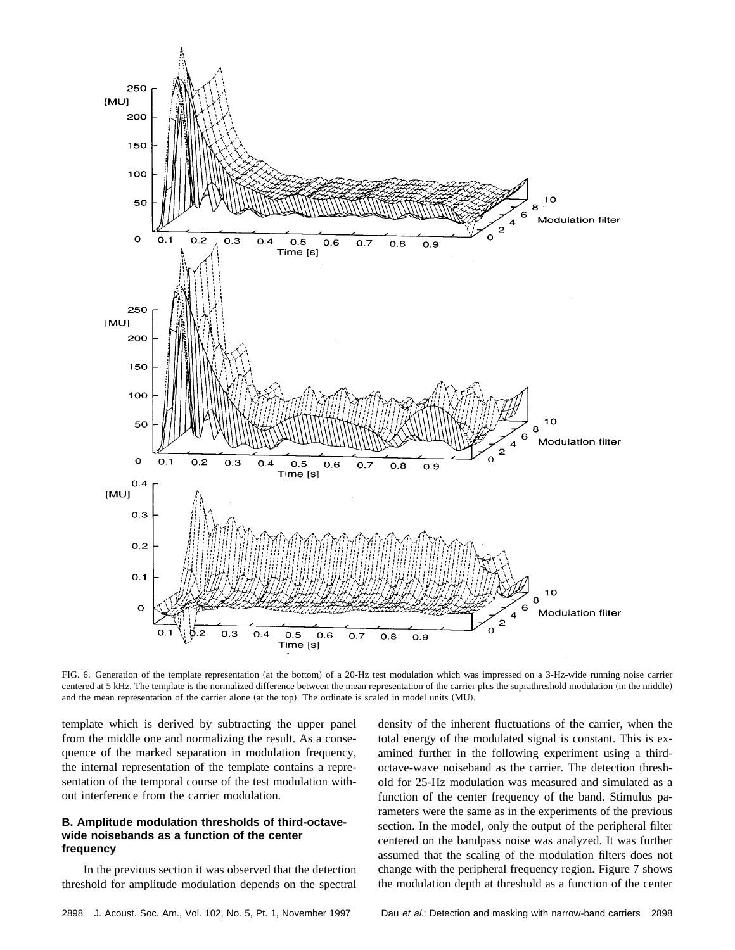

FIG. 6. Generation of the template representation (at the bottom) of a 20-Hz test modulation which was impressed on a 3-Hz-wide running noise carrier centered at 5 kHz. The template is the normalized difference between the mean representation of the carrier plus the suprathreshold modulation (in the middle) and the mean representation of the carrier alone (at the top). The ordinate is scaled in model units (MU).

template which is derived by subtracting the upper panel from the middle one and normalizing the result. As a consequence of the marked separation in modulation frequency, the internal representation of the template contains a representation of the temporal course of the test modulation without interference from the carrier modulation.

#### **B. Amplitude modulation thresholds of third-octavewide noisebands as a function of the center frequency**

In the previous section it was observed that the detection threshold for amplitude modulation depends on the spectral density of the inherent fluctuations of the carrier, when the total energy of the modulated signal is constant. This is examined further in the following experiment using a thirdoctave-wave noiseband as the carrier. The detection threshold for 25-Hz modulation was measured and simulated as a function of the center frequency of the band. Stimulus parameters were the same as in the experiments of the previous section. In the model, only the output of the peripheral filter centered on the bandpass noise was analyzed. It was further assumed that the scaling of the modulation filters does not change with the peripheral frequency region. Figure 7 shows the modulation depth at threshold as a function of the center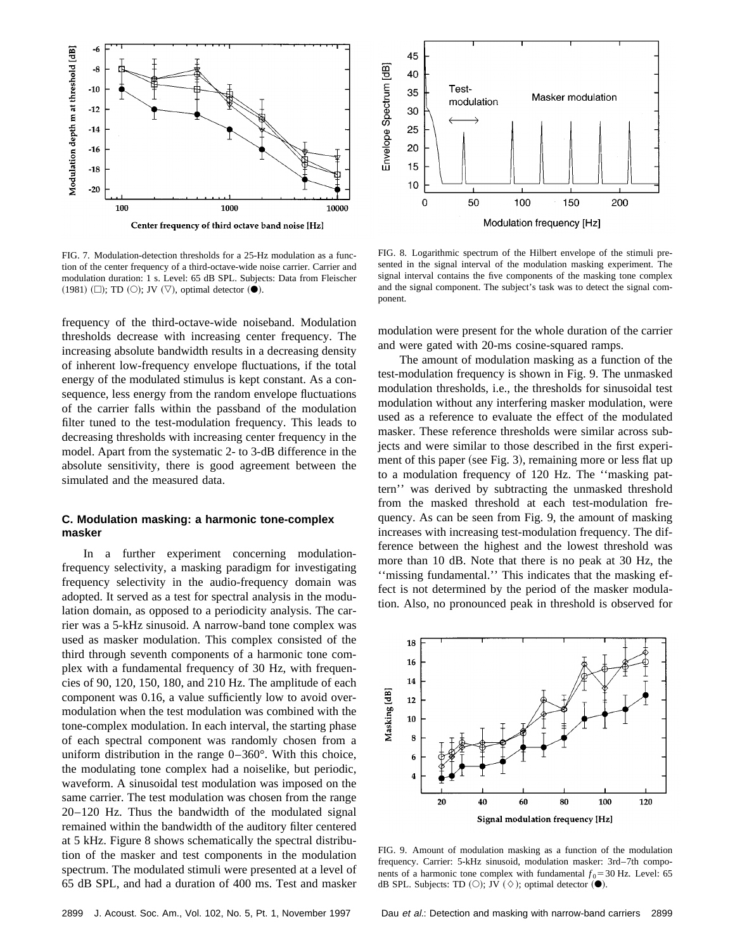

FIG. 7. Modulation-detection thresholds for a 25-Hz modulation as a function of the center frequency of a third-octave-wide noise carrier. Carrier and modulation duration: 1 s. Level: 65 dB SPL. Subjects: Data from Fleischer  $(1981)$  ( $\square$ ); TD ( $\bigcirc$ ); JV ( $\nabla$ ), optimal detector ( $\bullet$ ).

frequency of the third-octave-wide noiseband. Modulation thresholds decrease with increasing center frequency. The increasing absolute bandwidth results in a decreasing density of inherent low-frequency envelope fluctuations, if the total energy of the modulated stimulus is kept constant. As a consequence, less energy from the random envelope fluctuations of the carrier falls within the passband of the modulation filter tuned to the test-modulation frequency. This leads to decreasing thresholds with increasing center frequency in the model. Apart from the systematic 2- to 3-dB difference in the absolute sensitivity, there is good agreement between the simulated and the measured data.

#### **C. Modulation masking: a harmonic tone-complex masker**

In a further experiment concerning modulationfrequency selectivity, a masking paradigm for investigating frequency selectivity in the audio-frequency domain was adopted. It served as a test for spectral analysis in the modulation domain, as opposed to a periodicity analysis. The carrier was a 5-kHz sinusoid. A narrow-band tone complex was used as masker modulation. This complex consisted of the third through seventh components of a harmonic tone complex with a fundamental frequency of 30 Hz, with frequencies of 90, 120, 150, 180, and 210 Hz. The amplitude of each component was 0.16, a value sufficiently low to avoid overmodulation when the test modulation was combined with the tone-complex modulation. In each interval, the starting phase of each spectral component was randomly chosen from a uniform distribution in the range 0–360°. With this choice, the modulating tone complex had a noiselike, but periodic, waveform. A sinusoidal test modulation was imposed on the same carrier. The test modulation was chosen from the range 20–120 Hz. Thus the bandwidth of the modulated signal remained within the bandwidth of the auditory filter centered at 5 kHz. Figure 8 shows schematically the spectral distribution of the masker and test components in the modulation spectrum. The modulated stimuli were presented at a level of 65 dB SPL, and had a duration of 400 ms. Test and masker



FIG. 8. Logarithmic spectrum of the Hilbert envelope of the stimuli presented in the signal interval of the modulation masking experiment. The signal interval contains the five components of the masking tone complex and the signal component. The subject's task was to detect the signal component.

modulation were present for the whole duration of the carrier and were gated with 20-ms cosine-squared ramps.

The amount of modulation masking as a function of the test-modulation frequency is shown in Fig. 9. The unmasked modulation thresholds, i.e., the thresholds for sinusoidal test modulation without any interfering masker modulation, were used as a reference to evaluate the effect of the modulated masker. These reference thresholds were similar across subjects and were similar to those described in the first experiment of this paper (see Fig. 3), remaining more or less flat up to a modulation frequency of 120 Hz. The ''masking pattern'' was derived by subtracting the unmasked threshold from the masked threshold at each test-modulation frequency. As can be seen from Fig. 9, the amount of masking increases with increasing test-modulation frequency. The difference between the highest and the lowest threshold was more than 10 dB. Note that there is no peak at 30 Hz, the ''missing fundamental.'' This indicates that the masking effect is not determined by the period of the masker modulation. Also, no pronounced peak in threshold is observed for



FIG. 9. Amount of modulation masking as a function of the modulation frequency. Carrier: 5-kHz sinusoid, modulation masker: 3rd–7th components of a harmonic tone complex with fundamental  $f_0 = 30$  Hz. Level: 65 dB SPL. Subjects: TD  $(O)$ ; JV  $(\Diamond)$ ; optimal detector  $(\bullet)$ .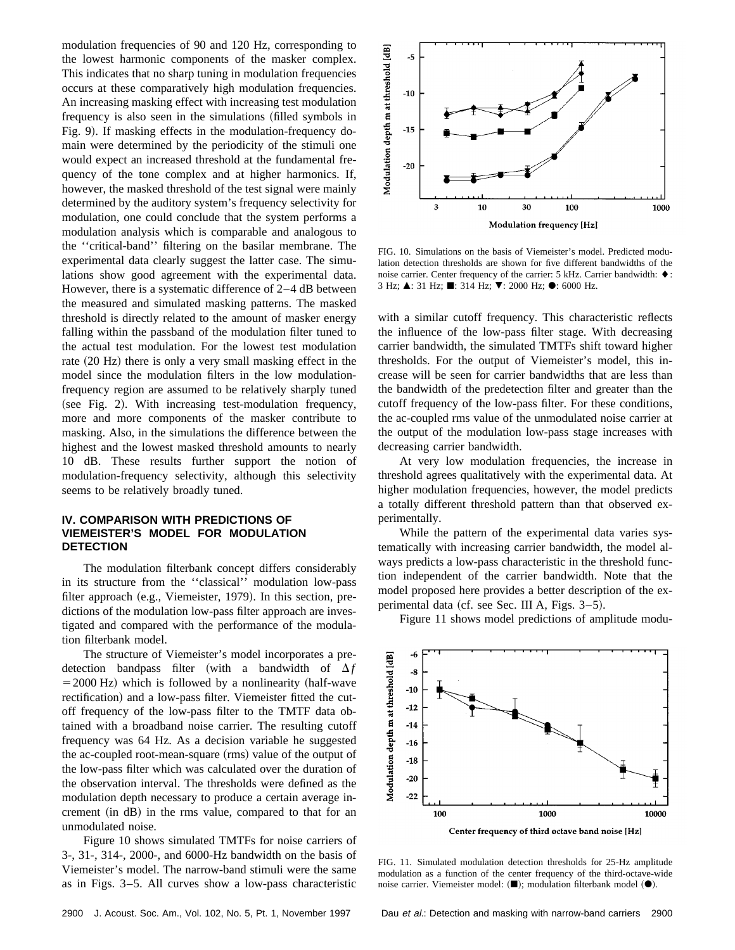modulation frequencies of 90 and 120 Hz, corresponding to the lowest harmonic components of the masker complex. This indicates that no sharp tuning in modulation frequencies occurs at these comparatively high modulation frequencies. An increasing masking effect with increasing test modulation frequency is also seen in the simulations (filled symbols in Fig. 9). If masking effects in the modulation-frequency domain were determined by the periodicity of the stimuli one would expect an increased threshold at the fundamental frequency of the tone complex and at higher harmonics. If, however, the masked threshold of the test signal were mainly determined by the auditory system's frequency selectivity for modulation, one could conclude that the system performs a modulation analysis which is comparable and analogous to the ''critical-band'' filtering on the basilar membrane. The experimental data clearly suggest the latter case. The simulations show good agreement with the experimental data. However, there is a systematic difference of 2–4 dB between the measured and simulated masking patterns. The masked threshold is directly related to the amount of masker energy falling within the passband of the modulation filter tuned to the actual test modulation. For the lowest test modulation rate  $(20 \text{ Hz})$  there is only a very small masking effect in the model since the modulation filters in the low modulationfrequency region are assumed to be relatively sharply tuned (see Fig. 2). With increasing test-modulation frequency, more and more components of the masker contribute to masking. Also, in the simulations the difference between the highest and the lowest masked threshold amounts to nearly 10 dB. These results further support the notion of modulation-frequency selectivity, although this selectivity seems to be relatively broadly tuned.

#### **IV. COMPARISON WITH PREDICTIONS OF VIEMEISTER'S MODEL FOR MODULATION DETECTION**

The modulation filterbank concept differs considerably in its structure from the ''classical'' modulation low-pass filter approach (e.g., Viemeister, 1979). In this section, predictions of the modulation low-pass filter approach are investigated and compared with the performance of the modulation filterbank model.

The structure of Viemeister's model incorporates a predetection bandpass filter (with a bandwidth of  $\Delta f$  $=$  2000 Hz) which is followed by a nonlinearity (half-wave rectification) and a low-pass filter. Viemeister fitted the cutoff frequency of the low-pass filter to the TMTF data obtained with a broadband noise carrier. The resulting cutoff frequency was 64 Hz. As a decision variable he suggested the ac-coupled root-mean-square (rms) value of the output of the low-pass filter which was calculated over the duration of the observation interval. The thresholds were defined as the modulation depth necessary to produce a certain average increment (in dB) in the rms value, compared to that for an unmodulated noise.

Figure 10 shows simulated TMTFs for noise carriers of 3-, 31-, 314-, 2000-, and 6000-Hz bandwidth on the basis of Viemeister's model. The narrow-band stimuli were the same as in Figs. 3–5. All curves show a low-pass characteristic



FIG. 10. Simulations on the basis of Viemeister's model. Predicted modulation detection thresholds are shown for five different bandwidths of the noise carrier. Center frequency of the carrier: 5 kHz. Carrier bandwidth:  $\blacklozenge$ : 3 Hz; **Δ**: 31 Hz; ■: 314 Hz; ▼: 2000 Hz; ●: 6000 Hz.

with a similar cutoff frequency. This characteristic reflects the influence of the low-pass filter stage. With decreasing carrier bandwidth, the simulated TMTFs shift toward higher thresholds. For the output of Viemeister's model, this increase will be seen for carrier bandwidths that are less than the bandwidth of the predetection filter and greater than the cutoff frequency of the low-pass filter. For these conditions, the ac-coupled rms value of the unmodulated noise carrier at the output of the modulation low-pass stage increases with decreasing carrier bandwidth.

At very low modulation frequencies, the increase in threshold agrees qualitatively with the experimental data. At higher modulation frequencies, however, the model predicts a totally different threshold pattern than that observed experimentally.

While the pattern of the experimental data varies systematically with increasing carrier bandwidth, the model always predicts a low-pass characteristic in the threshold function independent of the carrier bandwidth. Note that the model proposed here provides a better description of the experimental data (cf. see Sec. III A, Figs.  $3-5$ ).

Figure 11 shows model predictions of amplitude modu-



FIG. 11. Simulated modulation detection thresholds for 25-Hz amplitude modulation as a function of the center frequency of the third-octave-wide noise carrier. Viemeister model:  $($   $)$ ; modulation filterbank model  $($ <sup>O</sup> $)$ .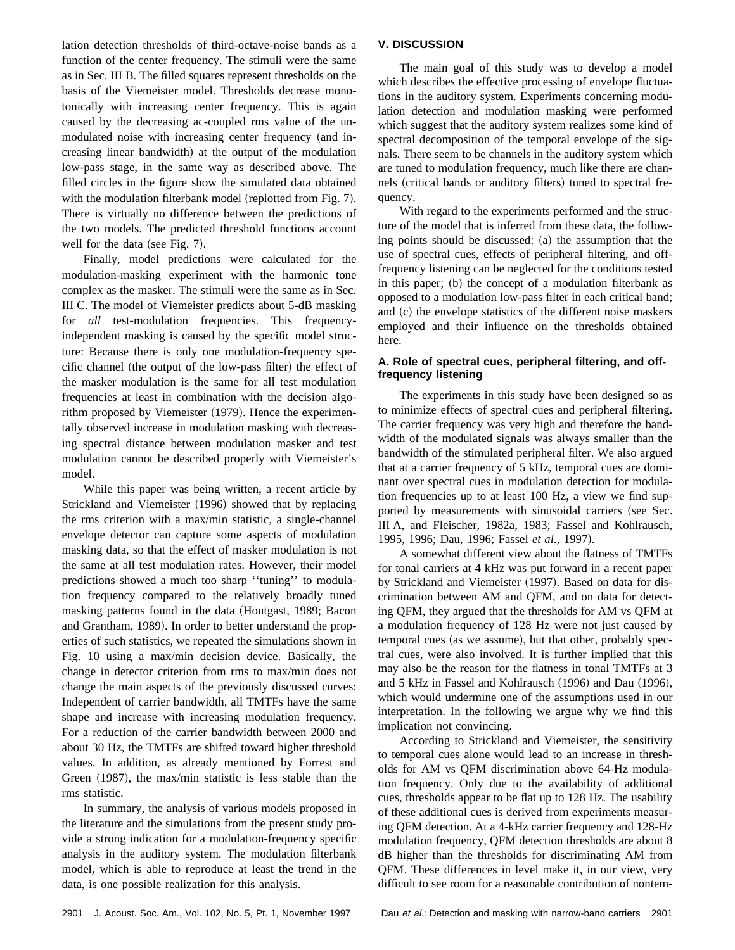lation detection thresholds of third-octave-noise bands as a function of the center frequency. The stimuli were the same as in Sec. III B. The filled squares represent thresholds on the basis of the Viemeister model. Thresholds decrease monotonically with increasing center frequency. This is again caused by the decreasing ac-coupled rms value of the unmodulated noise with increasing center frequency (and increasing linear bandwidth) at the output of the modulation low-pass stage, in the same way as described above. The filled circles in the figure show the simulated data obtained with the modulation filterbank model (replotted from Fig. 7). There is virtually no difference between the predictions of the two models. The predicted threshold functions account well for the data (see Fig. 7).

Finally, model predictions were calculated for the modulation-masking experiment with the harmonic tone complex as the masker. The stimuli were the same as in Sec. III C. The model of Viemeister predicts about 5-dB masking for *all* test-modulation frequencies. This frequencyindependent masking is caused by the specific model structure: Because there is only one modulation-frequency specific channel (the output of the low-pass filter) the effect of the masker modulation is the same for all test modulation frequencies at least in combination with the decision algorithm proposed by Viemeister  $(1979)$ . Hence the experimentally observed increase in modulation masking with decreasing spectral distance between modulation masker and test modulation cannot be described properly with Viemeister's model.

While this paper was being written, a recent article by Strickland and Viemeister (1996) showed that by replacing the rms criterion with a max/min statistic, a single-channel envelope detector can capture some aspects of modulation masking data, so that the effect of masker modulation is not the same at all test modulation rates. However, their model predictions showed a much too sharp ''tuning'' to modulation frequency compared to the relatively broadly tuned masking patterns found in the data (Houtgast, 1989; Bacon and Grantham, 1989). In order to better understand the properties of such statistics, we repeated the simulations shown in Fig. 10 using a max/min decision device. Basically, the change in detector criterion from rms to max/min does not change the main aspects of the previously discussed curves: Independent of carrier bandwidth, all TMTFs have the same shape and increase with increasing modulation frequency. For a reduction of the carrier bandwidth between 2000 and about 30 Hz, the TMTFs are shifted toward higher threshold values. In addition, as already mentioned by Forrest and Green  $(1987)$ , the max/min statistic is less stable than the rms statistic.

In summary, the analysis of various models proposed in the literature and the simulations from the present study provide a strong indication for a modulation-frequency specific analysis in the auditory system. The modulation filterbank model, which is able to reproduce at least the trend in the data, is one possible realization for this analysis.

# **V. DISCUSSION**

The main goal of this study was to develop a model which describes the effective processing of envelope fluctuations in the auditory system. Experiments concerning modulation detection and modulation masking were performed which suggest that the auditory system realizes some kind of spectral decomposition of the temporal envelope of the signals. There seem to be channels in the auditory system which are tuned to modulation frequency, much like there are channels (critical bands or auditory filters) tuned to spectral frequency.

With regard to the experiments performed and the structure of the model that is inferred from these data, the following points should be discussed:  $(a)$  the assumption that the use of spectral cues, effects of peripheral filtering, and offfrequency listening can be neglected for the conditions tested in this paper;  $(b)$  the concept of a modulation filterbank as opposed to a modulation low-pass filter in each critical band; and (c) the envelope statistics of the different noise maskers employed and their influence on the thresholds obtained here.

# **A. Role of spectral cues, peripheral filtering, and offfrequency listening**

The experiments in this study have been designed so as to minimize effects of spectral cues and peripheral filtering. The carrier frequency was very high and therefore the bandwidth of the modulated signals was always smaller than the bandwidth of the stimulated peripheral filter. We also argued that at a carrier frequency of 5 kHz, temporal cues are dominant over spectral cues in modulation detection for modulation frequencies up to at least 100 Hz, a view we find supported by measurements with sinusoidal carriers (see Sec. III A, and Fleischer, 1982a, 1983; Fassel and Kohlrausch, 1995, 1996; Dau, 1996; Fassel et al., 1997).

A somewhat different view about the flatness of TMTFs for tonal carriers at 4 kHz was put forward in a recent paper by Strickland and Viemeister (1997). Based on data for discrimination between AM and QFM, and on data for detecting QFM, they argued that the thresholds for AM vs QFM at a modulation frequency of 128 Hz were not just caused by temporal cues (as we assume), but that other, probably spectral cues, were also involved. It is further implied that this may also be the reason for the flatness in tonal TMTFs at 3 and 5 kHz in Fassel and Kohlrausch (1996) and Dau (1996), which would undermine one of the assumptions used in our interpretation. In the following we argue why we find this implication not convincing.

According to Strickland and Viemeister, the sensitivity to temporal cues alone would lead to an increase in thresholds for AM vs QFM discrimination above 64-Hz modulation frequency. Only due to the availability of additional cues, thresholds appear to be flat up to 128 Hz. The usability of these additional cues is derived from experiments measuring QFM detection. At a 4-kHz carrier frequency and 128-Hz modulation frequency, QFM detection thresholds are about 8 dB higher than the thresholds for discriminating AM from QFM. These differences in level make it, in our view, very difficult to see room for a reasonable contribution of nontem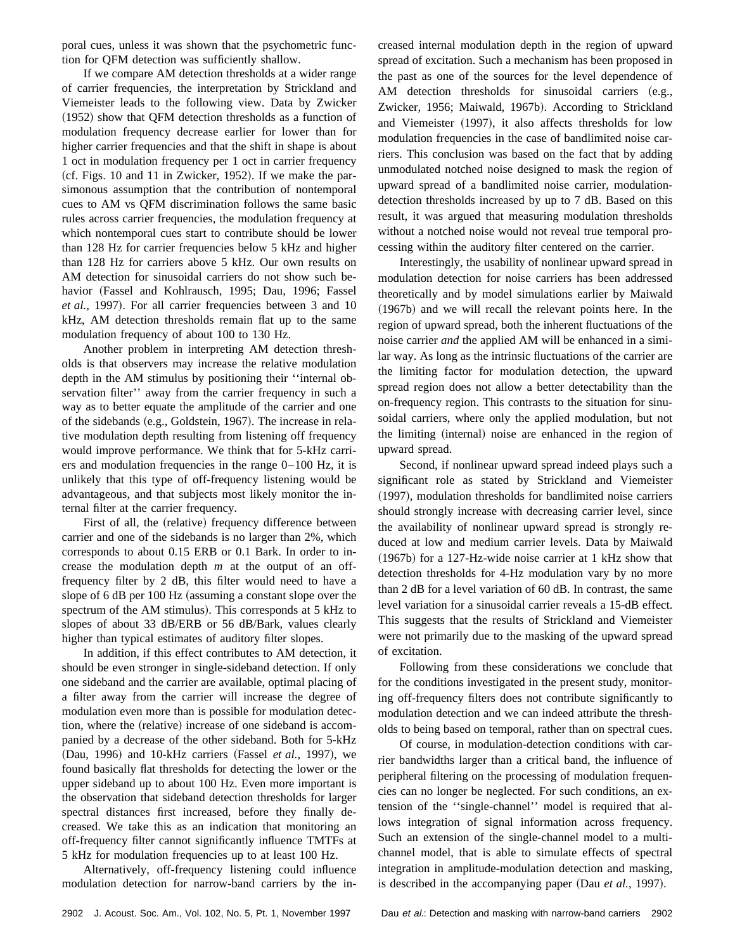poral cues, unless it was shown that the psychometric function for QFM detection was sufficiently shallow.

If we compare AM detection thresholds at a wider range of carrier frequencies, the interpretation by Strickland and Viemeister leads to the following view. Data by Zwicker (1952) show that QFM detection thresholds as a function of modulation frequency decrease earlier for lower than for higher carrier frequencies and that the shift in shape is about 1 oct in modulation frequency per 1 oct in carrier frequency  $~(c$ f. Figs. 10 and 11 in Zwicker, 1952). If we make the parsimonous assumption that the contribution of nontemporal cues to AM vs QFM discrimination follows the same basic rules across carrier frequencies, the modulation frequency at which nontemporal cues start to contribute should be lower than 128 Hz for carrier frequencies below 5 kHz and higher than 128 Hz for carriers above 5 kHz. Our own results on AM detection for sinusoidal carriers do not show such behavior (Fassel and Kohlrausch, 1995; Dau, 1996; Fassel *et al.*, 1997). For all carrier frequencies between 3 and 10 kHz, AM detection thresholds remain flat up to the same modulation frequency of about 100 to 130 Hz.

Another problem in interpreting AM detection thresholds is that observers may increase the relative modulation depth in the AM stimulus by positioning their ''internal observation filter'' away from the carrier frequency in such a way as to better equate the amplitude of the carrier and one of the sidebands (e.g., Goldstein, 1967). The increase in relative modulation depth resulting from listening off frequency would improve performance. We think that for 5-kHz carriers and modulation frequencies in the range 0–100 Hz, it is unlikely that this type of off-frequency listening would be advantageous, and that subjects most likely monitor the internal filter at the carrier frequency.

First of all, the (relative) frequency difference between carrier and one of the sidebands is no larger than 2%, which corresponds to about 0.15 ERB or 0.1 Bark. In order to increase the modulation depth *m* at the output of an offfrequency filter by 2 dB, this filter would need to have a slope of 6 dB per 100 Hz (assuming a constant slope over the spectrum of the AM stimulus). This corresponds at 5 kHz to slopes of about 33 dB/ERB or 56 dB/Bark, values clearly higher than typical estimates of auditory filter slopes.

In addition, if this effect contributes to AM detection, it should be even stronger in single-sideband detection. If only one sideband and the carrier are available, optimal placing of a filter away from the carrier will increase the degree of modulation even more than is possible for modulation detection, where the (relative) increase of one sideband is accompanied by a decrease of the other sideband. Both for 5-kHz (Dau, 1996) and 10-kHz carriers (Fassel *et al.*, 1997), we found basically flat thresholds for detecting the lower or the upper sideband up to about 100 Hz. Even more important is the observation that sideband detection thresholds for larger spectral distances first increased, before they finally decreased. We take this as an indication that monitoring an off-frequency filter cannot significantly influence TMTFs at 5 kHz for modulation frequencies up to at least 100 Hz.

Alternatively, off-frequency listening could influence modulation detection for narrow-band carriers by the increased internal modulation depth in the region of upward spread of excitation. Such a mechanism has been proposed in the past as one of the sources for the level dependence of AM detection thresholds for sinusoidal carriers (e.g., Zwicker, 1956; Maiwald, 1967b). According to Strickland and Viemeister (1997), it also affects thresholds for low modulation frequencies in the case of bandlimited noise carriers. This conclusion was based on the fact that by adding unmodulated notched noise designed to mask the region of upward spread of a bandlimited noise carrier, modulationdetection thresholds increased by up to 7 dB. Based on this result, it was argued that measuring modulation thresholds without a notched noise would not reveal true temporal processing within the auditory filter centered on the carrier.

Interestingly, the usability of nonlinear upward spread in modulation detection for noise carriers has been addressed theoretically and by model simulations earlier by Maiwald  $(1967b)$  and we will recall the relevant points here. In the region of upward spread, both the inherent fluctuations of the noise carrier *and* the applied AM will be enhanced in a similar way. As long as the intrinsic fluctuations of the carrier are the limiting factor for modulation detection, the upward spread region does not allow a better detectability than the on-frequency region. This contrasts to the situation for sinusoidal carriers, where only the applied modulation, but not the limiting (internal) noise are enhanced in the region of upward spread.

Second, if nonlinear upward spread indeed plays such a significant role as stated by Strickland and Viemeister (1997), modulation thresholds for bandlimited noise carriers should strongly increase with decreasing carrier level, since the availability of nonlinear upward spread is strongly reduced at low and medium carrier levels. Data by Maiwald  $(1967b)$  for a 127-Hz-wide noise carrier at 1 kHz show that detection thresholds for 4-Hz modulation vary by no more than 2 dB for a level variation of 60 dB. In contrast, the same level variation for a sinusoidal carrier reveals a 15-dB effect. This suggests that the results of Strickland and Viemeister were not primarily due to the masking of the upward spread of excitation.

Following from these considerations we conclude that for the conditions investigated in the present study, monitoring off-frequency filters does not contribute significantly to modulation detection and we can indeed attribute the thresholds to being based on temporal, rather than on spectral cues.

Of course, in modulation-detection conditions with carrier bandwidths larger than a critical band, the influence of peripheral filtering on the processing of modulation frequencies can no longer be neglected. For such conditions, an extension of the ''single-channel'' model is required that allows integration of signal information across frequency. Such an extension of the single-channel model to a multichannel model, that is able to simulate effects of spectral integration in amplitude-modulation detection and masking, is described in the accompanying paper (Dau *et al.*, 1997).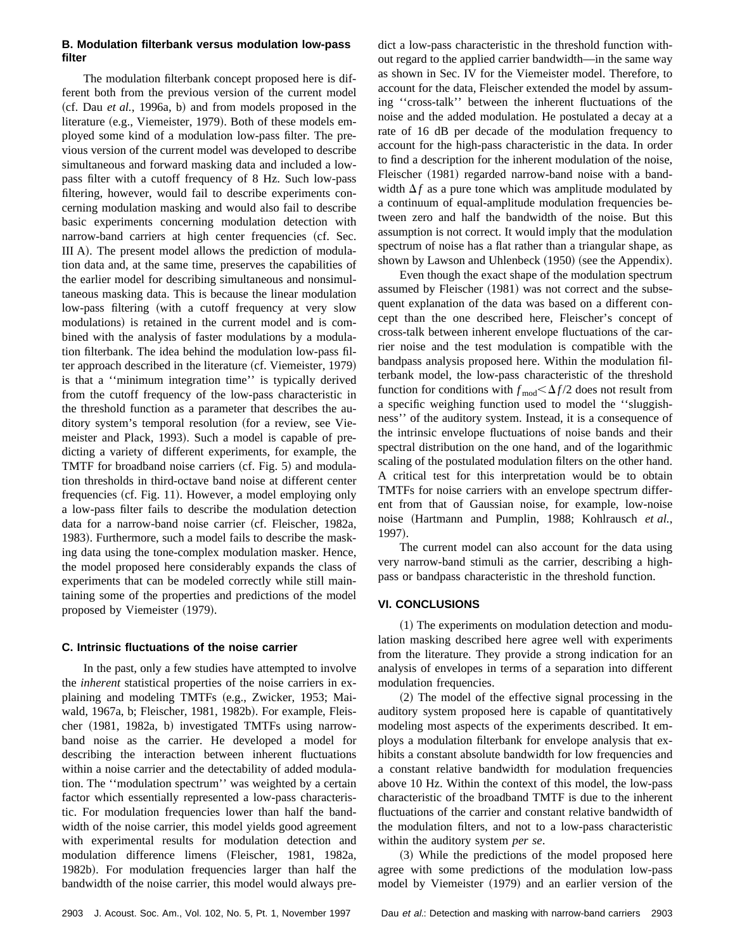### **B. Modulation filterbank versus modulation low-pass filter**

The modulation filterbank concept proposed here is different both from the previous version of the current model (cf. Dau *et al.*, 1996a, b) and from models proposed in the literature (e.g., Viemeister, 1979). Both of these models employed some kind of a modulation low-pass filter. The previous version of the current model was developed to describe simultaneous and forward masking data and included a lowpass filter with a cutoff frequency of 8 Hz. Such low-pass filtering, however, would fail to describe experiments concerning modulation masking and would also fail to describe basic experiments concerning modulation detection with narrow-band carriers at high center frequencies (cf. Sec. III A). The present model allows the prediction of modulation data and, at the same time, preserves the capabilities of the earlier model for describing simultaneous and nonsimultaneous masking data. This is because the linear modulation low-pass filtering (with a cutoff frequency at very slow modulations) is retained in the current model and is combined with the analysis of faster modulations by a modulation filterbank. The idea behind the modulation low-pass filter approach described in the literature (cf. Viemeister, 1979) is that a ''minimum integration time'' is typically derived from the cutoff frequency of the low-pass characteristic in the threshold function as a parameter that describes the auditory system's temporal resolution (for a review, see Viemeister and Plack, 1993). Such a model is capable of predicting a variety of different experiments, for example, the TMTF for broadband noise carriers  $(cf. Fig. 5)$  and modulation thresholds in third-octave band noise at different center frequencies (cf. Fig. 11). However, a model employing only a low-pass filter fails to describe the modulation detection data for a narrow-band noise carrier (cf. Fleischer, 1982a, 1983). Furthermore, such a model fails to describe the masking data using the tone-complex modulation masker. Hence, the model proposed here considerably expands the class of experiments that can be modeled correctly while still maintaining some of the properties and predictions of the model proposed by Viemeister (1979).

# **C. Intrinsic fluctuations of the noise carrier**

In the past, only a few studies have attempted to involve the *inherent* statistical properties of the noise carriers in explaining and modeling TMTFs (e.g., Zwicker, 1953; Maiwald, 1967a, b; Fleischer, 1981, 1982b). For example, Fleischer (1981, 1982a, b) investigated TMTFs using narrowband noise as the carrier. He developed a model for describing the interaction between inherent fluctuations within a noise carrier and the detectability of added modulation. The ''modulation spectrum'' was weighted by a certain factor which essentially represented a low-pass characteristic. For modulation frequencies lower than half the bandwidth of the noise carrier, this model yields good agreement with experimental results for modulation detection and modulation difference limens (Fleischer, 1981, 1982a, 1982b). For modulation frequencies larger than half the bandwidth of the noise carrier, this model would always predict a low-pass characteristic in the threshold function without regard to the applied carrier bandwidth—in the same way as shown in Sec. IV for the Viemeister model. Therefore, to account for the data, Fleischer extended the model by assuming ''cross-talk'' between the inherent fluctuations of the noise and the added modulation. He postulated a decay at a rate of 16 dB per decade of the modulation frequency to account for the high-pass characteristic in the data. In order to find a description for the inherent modulation of the noise, Fleischer (1981) regarded narrow-band noise with a bandwidth  $\Delta f$  as a pure tone which was amplitude modulated by a continuum of equal-amplitude modulation frequencies between zero and half the bandwidth of the noise. But this assumption is not correct. It would imply that the modulation spectrum of noise has a flat rather than a triangular shape, as shown by Lawson and Uhlenbeck  $(1950)$  (see the Appendix).

Even though the exact shape of the modulation spectrum assumed by Fleischer  $(1981)$  was not correct and the subsequent explanation of the data was based on a different concept than the one described here, Fleischer's concept of cross-talk between inherent envelope fluctuations of the carrier noise and the test modulation is compatible with the bandpass analysis proposed here. Within the modulation filterbank model, the low-pass characteristic of the threshold function for conditions with  $f_{\text{mod}} < \Delta f/2$  does not result from a specific weighing function used to model the ''sluggishness'' of the auditory system. Instead, it is a consequence of the intrinsic envelope fluctuations of noise bands and their spectral distribution on the one hand, and of the logarithmic scaling of the postulated modulation filters on the other hand. A critical test for this interpretation would be to obtain TMTFs for noise carriers with an envelope spectrum different from that of Gaussian noise, for example, low-noise noise (Hartmann and Pumplin, 1988; Kohlrausch *et al.*, 1997).

The current model can also account for the data using very narrow-band stimuli as the carrier, describing a highpass or bandpass characteristic in the threshold function.

# **VI. CONCLUSIONS**

 $(1)$  The experiments on modulation detection and modulation masking described here agree well with experiments from the literature. They provide a strong indication for an analysis of envelopes in terms of a separation into different modulation frequencies.

 $(2)$  The model of the effective signal processing in the auditory system proposed here is capable of quantitatively modeling most aspects of the experiments described. It employs a modulation filterbank for envelope analysis that exhibits a constant absolute bandwidth for low frequencies and a constant relative bandwidth for modulation frequencies above 10 Hz. Within the context of this model, the low-pass characteristic of the broadband TMTF is due to the inherent fluctuations of the carrier and constant relative bandwidth of the modulation filters, and not to a low-pass characteristic within the auditory system *per se*.

~3! While the predictions of the model proposed here agree with some predictions of the modulation low-pass model by Viemeister  $(1979)$  and an earlier version of the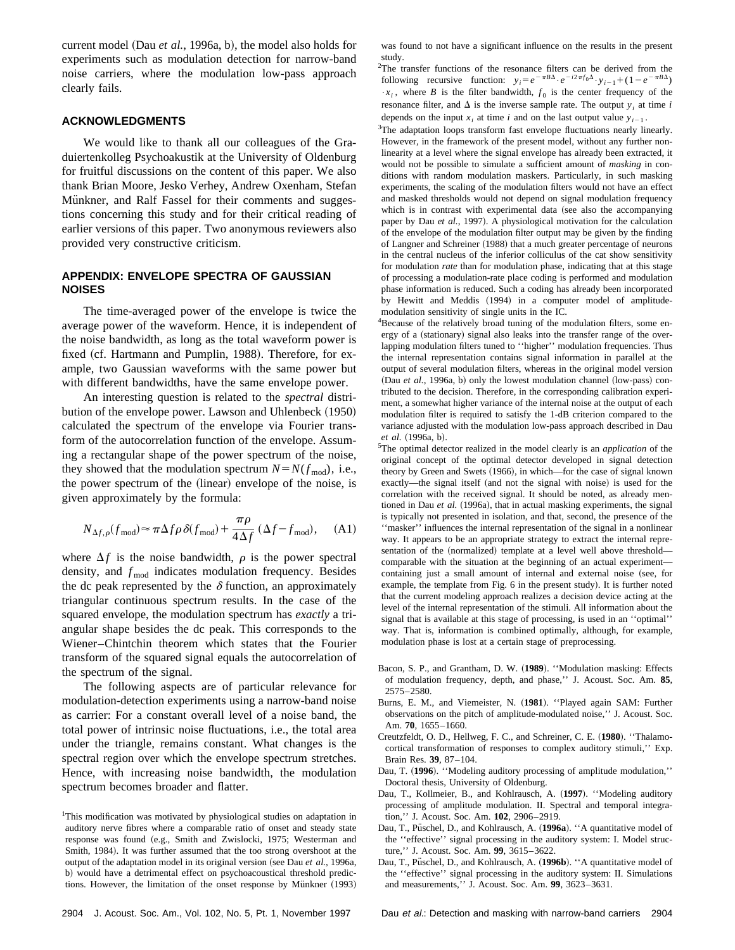current model (Dau *et al.*, 1996a, b), the model also holds for experiments such as modulation detection for narrow-band noise carriers, where the modulation low-pass approach clearly fails.

# **ACKNOWLEDGMENTS**

We would like to thank all our colleagues of the Graduiertenkolleg Psychoakustik at the University of Oldenburg for fruitful discussions on the content of this paper. We also thank Brian Moore, Jesko Verhey, Andrew Oxenham, Stefan Münkner, and Ralf Fassel for their comments and suggestions concerning this study and for their critical reading of earlier versions of this paper. Two anonymous reviewers also provided very constructive criticism.

# **APPENDIX: ENVELOPE SPECTRA OF GAUSSIAN NOISES**

The time-averaged power of the envelope is twice the average power of the waveform. Hence, it is independent of the noise bandwidth, as long as the total waveform power is fixed (cf. Hartmann and Pumplin, 1988). Therefore, for example, two Gaussian waveforms with the same power but with different bandwidths, have the same envelope power.

An interesting question is related to the *spectral* distribution of the envelope power. Lawson and Uhlenbeck (1950) calculated the spectrum of the envelope via Fourier transform of the autocorrelation function of the envelope. Assuming a rectangular shape of the power spectrum of the noise, they showed that the modulation spectrum  $N = N(f_{\text{mod}})$ , i.e., the power spectrum of the (linear) envelope of the noise, is given approximately by the formula:

$$
N_{\Delta f,\rho}(f_{\text{mod}}) \approx \pi \Delta f \rho \,\delta(f_{\text{mod}}) + \frac{\pi \rho}{4 \Delta f} \left(\Delta f - f_{\text{mod}}\right),\tag{A1}
$$

where  $\Delta f$  is the noise bandwidth,  $\rho$  is the power spectral density, and  $f_{\text{mod}}$  indicates modulation frequency. Besides the dc peak represented by the  $\delta$  function, an approximately triangular continuous spectrum results. In the case of the squared envelope, the modulation spectrum has *exactly* a triangular shape besides the dc peak. This corresponds to the Wiener–Chintchin theorem which states that the Fourier transform of the squared signal equals the autocorrelation of the spectrum of the signal.

The following aspects are of particular relevance for modulation-detection experiments using a narrow-band noise as carrier: For a constant overall level of a noise band, the total power of intrinsic noise fluctuations, i.e., the total area under the triangle, remains constant. What changes is the spectral region over which the envelope spectrum stretches. Hence, with increasing noise bandwidth, the modulation spectrum becomes broader and flatter.

<sup>1</sup>This modification was motivated by physiological studies on adaptation in auditory nerve fibres where a comparable ratio of onset and steady state response was found (e.g., Smith and Zwislocki, 1975; Westerman and Smith, 1984). It was further assumed that the too strong overshoot at the output of the adaptation model in its original version (see Dau  $et$   $al.$ , 1996a, b) would have a detrimental effect on psychoacoustical threshold predictions. However, the limitation of the onset response by Münkner (1993)

was found to not have a significant influence on the results in the present study.

<sup>2</sup>The transfer functions of the resonance filters can be derived from the following recursive function:  $y_i = e^{-\pi B \Delta} \cdot e^{-i2\pi f_0 \Delta} \cdot y_{i-1} + (1 - e^{-\pi B \Delta})$  $\cdot x_i$ , where *B* is the filter bandwidth,  $f_0$  is the center frequency of the resonance filter, and  $\Delta$  is the inverse sample rate. The output  $y_i$  at time *i* depends on the input  $x_i$  at time *i* and on the last output value  $y_{i-1}$ .

<sup>3</sup>The adaptation loops transform fast envelope fluctuations nearly linearly. However, in the framework of the present model, without any further nonlinearity at a level where the signal envelope has already been extracted, it would not be possible to simulate a sufficient amount of *masking* in conditions with random modulation maskers. Particularly, in such masking experiments, the scaling of the modulation filters would not have an effect and masked thresholds would not depend on signal modulation frequency which is in contrast with experimental data (see also the accompanying paper by Dau et al., 1997). A physiological motivation for the calculation of the envelope of the modulation filter output may be given by the finding of Langner and Schreiner (1988) that a much greater percentage of neurons in the central nucleus of the inferior colliculus of the cat show sensitivity for modulation *rate* than for modulation phase, indicating that at this stage of processing a modulation-rate place coding is performed and modulation phase information is reduced. Such a coding has already been incorporated by Hewitt and Meddis (1994) in a computer model of amplitudemodulation sensitivity of single units in the IC.

<sup>4</sup>Because of the relatively broad tuning of the modulation filters, some energy of a (stationary) signal also leaks into the transfer range of the overlapping modulation filters tuned to ''higher'' modulation frequencies. Thus the internal representation contains signal information in parallel at the output of several modulation filters, whereas in the original model version (Dau *et al.*, 1996a, b) only the lowest modulation channel (low-pass) contributed to the decision. Therefore, in the corresponding calibration experiment, a somewhat higher variance of the internal noise at the output of each modulation filter is required to satisfy the 1-dB criterion compared to the variance adjusted with the modulation low-pass approach described in Dau *et al.* (1996a, b).

5 The optimal detector realized in the model clearly is an *application* of the original concept of the optimal detector developed in signal detection theory by Green and Swets (1966), in which—for the case of signal known exactly—the signal itself (and not the signal with noise) is used for the correlation with the received signal. It should be noted, as already mentioned in Dau et al. (1996a), that in actual masking experiments, the signal is typically not presented in isolation, and that, second, the presence of the ''masker'' influences the internal representation of the signal in a nonlinear way. It appears to be an appropriate strategy to extract the internal representation of the (normalized) template at a level well above threshold comparable with the situation at the beginning of an actual experiment containing just a small amount of internal and external noise (see, for example, the template from Fig. 6 in the present study). It is further noted that the current modeling approach realizes a decision device acting at the level of the internal representation of the stimuli. All information about the signal that is available at this stage of processing, is used in an ''optimal'' way. That is, information is combined optimally, although, for example, modulation phase is lost at a certain stage of preprocessing.

- Bacon, S. P., and Grantham, D. W. (1989). "Modulation masking: Effects of modulation frequency, depth, and phase,'' J. Acoust. Soc. Am. **85**, 2575–2580.
- Burns, E. M., and Viemeister, N. (1981). "Played again SAM: Further observations on the pitch of amplitude-modulated noise,'' J. Acoust. Soc. Am. **70**, 1655–1660.
- Creutzfeldt, O. D., Hellweg, F. C., and Schreiner, C. E. ~**1980**!. ''Thalamocortical transformation of responses to complex auditory stimuli,'' Exp. Brain Res. **39**, 87–104.
- Dau, T. (1996). "Modeling auditory processing of amplitude modulation," Doctoral thesis, University of Oldenburg.
- Dau, T., Kollmeier, B., and Kohlrausch, A. (1997). "Modeling auditory processing of amplitude modulation. II. Spectral and temporal integration,'' J. Acoust. Soc. Am. **102**, 2906–2919.
- Dau, T., Püschel, D., and Kohlrausch, A. (1996a). "A quantitative model of the ''effective'' signal processing in the auditory system: I. Model structure,'' J. Acoust. Soc. Am. **99**, 3615–3622.
- Dau, T., Püschel, D., and Kohlrausch, A. (1996b). "A quantitative model of the ''effective'' signal processing in the auditory system: II. Simulations and measurements,'' J. Acoust. Soc. Am. **99**, 3623–3631.